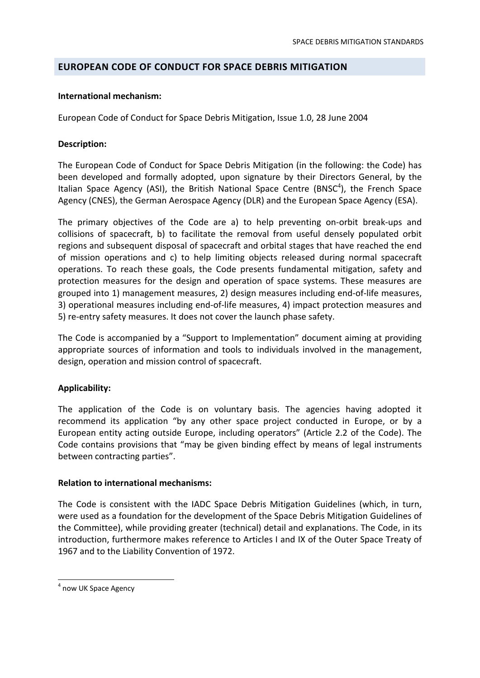# **EUROPEAN CODE OF CONDUCT FOR SPACE DEBRIS MITIGATION**

### **International mechanism:**

European Code of Conduct for Space Debris Mitigation, Issue 1.0, 28 June 2004

## **Description:**

The European Code of Conduct for Space Debris Mitigation (in the following: the Code) has been developed and formally adopted, upon signature by their Directors General, by the Italian Space Agency (ASI), the British National Space Centre (BNSC<sup>4</sup>), the French Space Agency (CNES), the German Aerospace Agency (DLR) and the European Space Agency (ESA).

The primary objectives of the Code are a) to help preventing on‐orbit break‐ups and collisions of spacecraft, b) to facilitate the removal from useful densely populated orbit regions and subsequent disposal of spacecraft and orbital stages that have reached the end of mission operations and c) to help limiting objects released during normal spacecraft operations. To reach these goals, the Code presents fundamental mitigation, safety and protection measures for the design and operation of space systems. These measures are grouped into 1) management measures, 2) design measures including end‐of‐life measures, 3) operational measures including end‐of‐life measures, 4) impact protection measures and 5) re-entry safety measures. It does not cover the launch phase safety.

The Code is accompanied by a "Support to Implementation" document aiming at providing appropriate sources of information and tools to individuals involved in the management, design, operation and mission control of spacecraft.

# **Applicability:**

The application of the Code is on voluntary basis. The agencies having adopted it recommend its application "by any other space project conducted in Europe, or by a European entity acting outside Europe, including operators" (Article 2.2 of the Code). The Code contains provisions that "may be given binding effect by means of legal instruments between contracting parties".

#### **Relation to international mechanisms:**

The Code is consistent with the IADC Space Debris Mitigation Guidelines (which, in turn, were used as a foundation for the development of the Space Debris Mitigation Guidelines of the Committee), while providing greater (technical) detail and explanations. The Code, in its introduction, furthermore makes reference to Articles I and IX of the Outer Space Treaty of 1967 and to the Liability Convention of 1972.

<sup>&</sup>lt;sup>4</sup> now UK Space Agency